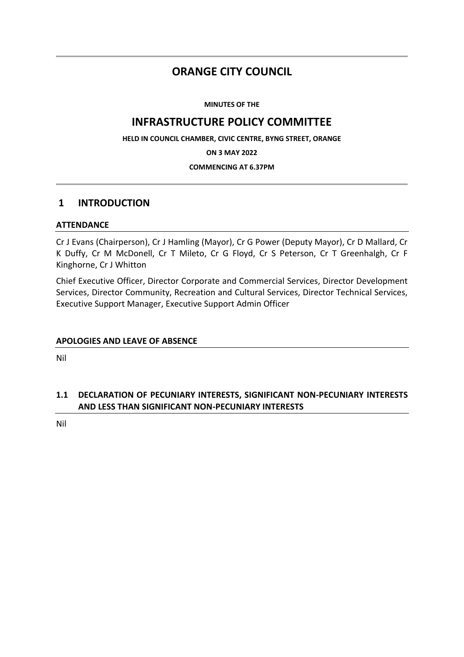# **ORANGE CITY COUNCIL**

**MINUTES OF THE**

# **INFRASTRUCTURE POLICY COMMITTEE**

**HELD IN COUNCIL CHAMBER, CIVIC CENTRE, BYNG STREET, ORANGE**

**ON 3 MAY 2022**

### **COMMENCING AT 6.37PM**

# **1 INTRODUCTION**

## **ATTENDANCE**

Cr J Evans (Chairperson), Cr J Hamling (Mayor), Cr G Power (Deputy Mayor), Cr D Mallard, Cr K Duffy, Cr M McDonell, Cr T Mileto, Cr G Floyd, Cr S Peterson, Cr T Greenhalgh, Cr F Kinghorne, Cr J Whitton

Chief Executive Officer, Director Corporate and Commercial Services, Director Development Services, Director Community, Recreation and Cultural Services, Director Technical Services, Executive Support Manager, Executive Support Admin Officer

## **APOLOGIES AND LEAVE OF ABSENCE**

Nil

# **1.1 DECLARATION OF PECUNIARY INTERESTS, SIGNIFICANT NON-PECUNIARY INTERESTS AND LESS THAN SIGNIFICANT NON-PECUNIARY INTERESTS**

Nil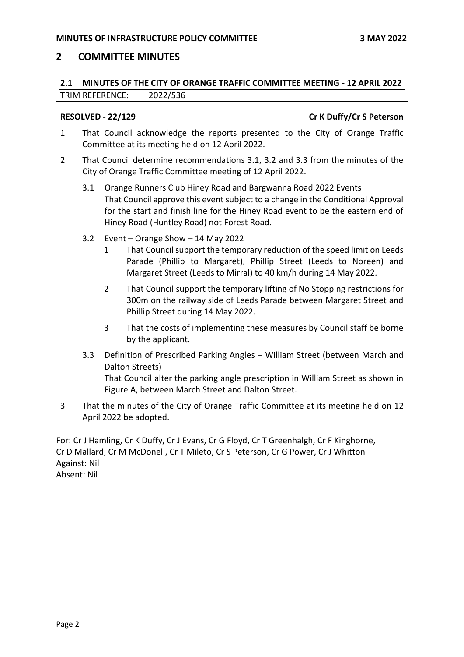# **2 COMMITTEE MINUTES**

## **2.1 MINUTES OF THE CITY OF ORANGE TRAFFIC COMMITTEE MEETING - 12 APRIL 2022** TRIM REFERENCE: 2022/536

# **RESOLVED - 22/129 Cr K Duffy/Cr S Peterson**

- 1 That Council acknowledge the reports presented to the City of Orange Traffic Committee at its meeting held on 12 April 2022.
- 2 That Council determine recommendations 3.1, 3.2 and 3.3 from the minutes of the City of Orange Traffic Committee meeting of 12 April 2022.
	- 3.1 Orange Runners Club Hiney Road and Bargwanna Road 2022 Events That Council approve this event subject to a change in the Conditional Approval for the start and finish line for the Hiney Road event to be the eastern end of Hiney Road (Huntley Road) not Forest Road.
	- 3.2 Event Orange Show 14 May 2022
		- 1 That Council support the temporary reduction of the speed limit on Leeds Parade (Phillip to Margaret), Phillip Street (Leeds to Noreen) and Margaret Street (Leeds to Mirral) to 40 km/h during 14 May 2022.
		- 2 That Council support the temporary lifting of No Stopping restrictions for 300m on the railway side of Leeds Parade between Margaret Street and Phillip Street during 14 May 2022.
		- 3 That the costs of implementing these measures by Council staff be borne by the applicant.
	- 3.3 Definition of Prescribed Parking Angles William Street (between March and Dalton Streets) That Council alter the parking angle prescription in William Street as shown in Figure A, between March Street and Dalton Street.
- 3 That the minutes of the City of Orange Traffic Committee at its meeting held on 12 April 2022 be adopted.

For: Cr J Hamling, Cr K Duffy, Cr J Evans, Cr G Floyd, Cr T Greenhalgh, Cr F Kinghorne, Cr D Mallard, Cr M McDonell, Cr T Mileto, Cr S Peterson, Cr G Power, Cr J Whitton Against: Nil Absent: Nil